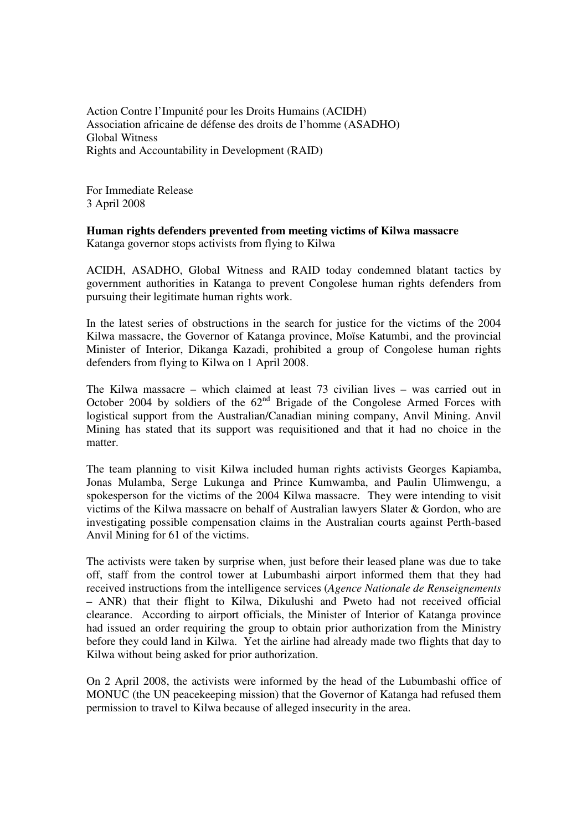Action Contre l'Impunité pour les Droits Humains (ACIDH) Association africaine de défense des droits de l'homme (ASADHO) Global Witness Rights and Accountability in Development (RAID)

For Immediate Release 3 April 2008

## **Human rights defenders prevented from meeting victims of Kilwa massacre**

Katanga governor stops activists from flying to Kilwa

ACIDH, ASADHO, Global Witness and RAID today condemned blatant tactics by government authorities in Katanga to prevent Congolese human rights defenders from pursuing their legitimate human rights work.

In the latest series of obstructions in the search for justice for the victims of the 2004 Kilwa massacre, the Governor of Katanga province, Moïse Katumbi, and the provincial Minister of Interior, Dikanga Kazadi, prohibited a group of Congolese human rights defenders from flying to Kilwa on 1 April 2008.

The Kilwa massacre – which claimed at least 73 civilian lives – was carried out in October 2004 by soldiers of the  $62<sup>nd</sup>$  Brigade of the Congolese Armed Forces with logistical support from the Australian/Canadian mining company, Anvil Mining. Anvil Mining has stated that its support was requisitioned and that it had no choice in the matter.

The team planning to visit Kilwa included human rights activists Georges Kapiamba, Jonas Mulamba, Serge Lukunga and Prince Kumwamba, and Paulin Ulimwengu, a spokesperson for the victims of the 2004 Kilwa massacre. They were intending to visit victims of the Kilwa massacre on behalf of Australian lawyers Slater & Gordon, who are investigating possible compensation claims in the Australian courts against Perth-based Anvil Mining for 61 of the victims.

The activists were taken by surprise when, just before their leased plane was due to take off, staff from the control tower at Lubumbashi airport informed them that they had received instructions from the intelligence services (*Agence Nationale de Renseignements* – ANR) that their flight to Kilwa, Dikulushi and Pweto had not received official clearance. According to airport officials, the Minister of Interior of Katanga province had issued an order requiring the group to obtain prior authorization from the Ministry before they could land in Kilwa. Yet the airline had already made two flights that day to Kilwa without being asked for prior authorization.

On 2 April 2008, the activists were informed by the head of the Lubumbashi office of MONUC (the UN peacekeeping mission) that the Governor of Katanga had refused them permission to travel to Kilwa because of alleged insecurity in the area.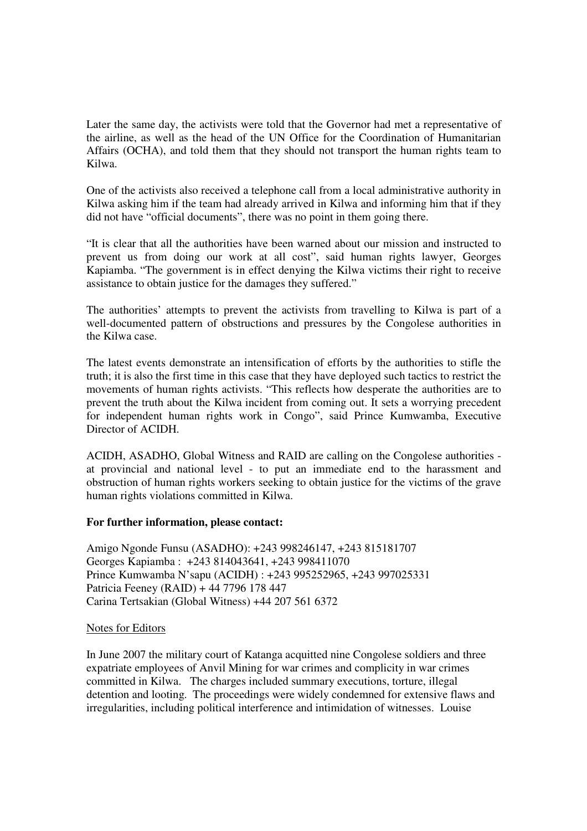Later the same day, the activists were told that the Governor had met a representative of the airline, as well as the head of the UN Office for the Coordination of Humanitarian Affairs (OCHA), and told them that they should not transport the human rights team to Kilwa.

One of the activists also received a telephone call from a local administrative authority in Kilwa asking him if the team had already arrived in Kilwa and informing him that if they did not have "official documents", there was no point in them going there.

"It is clear that all the authorities have been warned about our mission and instructed to prevent us from doing our work at all cost", said human rights lawyer, Georges Kapiamba. "The government is in effect denying the Kilwa victims their right to receive assistance to obtain justice for the damages they suffered."

The authorities' attempts to prevent the activists from travelling to Kilwa is part of a well-documented pattern of obstructions and pressures by the Congolese authorities in the Kilwa case.

The latest events demonstrate an intensification of efforts by the authorities to stifle the truth; it is also the first time in this case that they have deployed such tactics to restrict the movements of human rights activists. "This reflects how desperate the authorities are to prevent the truth about the Kilwa incident from coming out. It sets a worrying precedent for independent human rights work in Congo", said Prince Kumwamba, Executive Director of ACIDH.

ACIDH, ASADHO, Global Witness and RAID are calling on the Congolese authorities at provincial and national level - to put an immediate end to the harassment and obstruction of human rights workers seeking to obtain justice for the victims of the grave human rights violations committed in Kilwa.

## **For further information, please contact:**

Amigo Ngonde Funsu (ASADHO): +243 998246147, +243 815181707 Georges Kapiamba : +243 814043641, +243 998411070 Prince Kumwamba N'sapu (ACIDH) : +243 995252965, +243 997025331 Patricia Feeney (RAID) + 44 7796 178 447 Carina Tertsakian (Global Witness) +44 207 561 6372

## Notes for Editors

In June 2007 the military court of Katanga acquitted nine Congolese soldiers and three expatriate employees of Anvil Mining for war crimes and complicity in war crimes committed in Kilwa. The charges included summary executions, torture, illegal detention and looting. The proceedings were widely condemned for extensive flaws and irregularities, including political interference and intimidation of witnesses. Louise